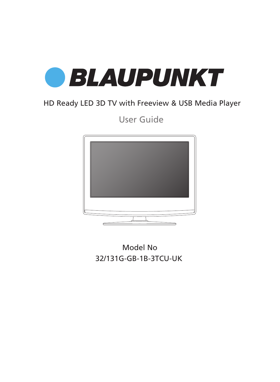

# HD Ready LED 3D TV with Freeview & USB Media Player

User Guide



32/131G-GB-1B-3TCU-UK Model No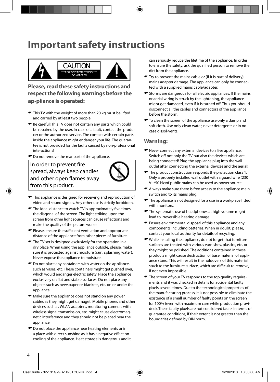# **Important safety instructions**



**Please, read these safety instructions and respect the following warnings before the ap-pliance is operated:**

- This TV with the weight of more than 20 kg must be lifted and carried by at least two people.
- Be careful! This TV does not contain any parts which could be repaired by the user. In case of a fault, contact the producer or the authorized service. The contact with certain parts inside the appliance might endanger your life. The guarantee is not provided for the faults caused by non-professional interactions!
- $\bullet$  Do not remove the rear part of the appliance.

In order to prevent fire spread, always keep candles and other open flames away from this product.



- $\bullet$  This appliance is designed for receiving and reproduction of video and sound signals. Any other use is strictly forbidden.
- $\blacktriangleright$  The ideal distance to watch TV is approximately five times the diagonal of the screen. The light striking upon the screen from other light sources can cause reflections and make the quality of the picture worse.
- $\blacktriangleright$  Please, ensure the sufficient ventilation and appropriate distance of the appliance from other pieces of furniture.
- $\blacktriangleright$  The TV set is designed exclusively for the operation in a dry place. When using the appliance outside, please, make sure it is protected against moisture (rain, splashing water). Never expose the appliance to moisture.
- $\bullet$  Do not place any containers with water on the appliance, such as vases, etc. These containers might get pushed over, which would endanger electric safety. Place the appliance exclusively on flat and stable surfaces. Do not place any objects such as newspaper or blankets, etc. on or under the appliance.
- $\bullet$  Make sure the appliance does not stand on any power cables as they might get damaget. Mobile phones and other devices such as WLAN adapters, monitoring cameras with wireless signal transmission, etc. might cause electromagnetic interference and they should not be placed near the appliance.
- $\bullet$  Do not place the appliance near heating elements or in a place with direct sunshine as it has a negative effect on cooling of the appliance. Heat storage is dangerous and it

can seriously reduce the lifetime of the appliance. In order to ensure the safety, ask the qualified person to remove the dirt from the appliance.

- Try to prevent the mains cable or (if it is part of delivery) mains adapter damage. The appliance can only be connected with a supplied mains cable/adapter.
- Storms are dangerous for all electric appliances. If the mains or aerial wiring is struck by the lightening, the appliance might get damaged, even if it is turned off. Thus you should disconnect all the cables and connectors of the appliance before the storm.
- $\bullet$  To clean the screen of the appliance use only a damp and soft cloth. Use only clean water, never detergents or in no case dissol-vents.

#### **Warning:**

- Never connect any external devices to a live appliance. Switch off not only the TV but also the devices which are being connected! Plug the appliance plug into the wall outlet after connecting the external devices and the aerial!
- $\blacktriangleright$  The product construction responds the protection class 1. Only a properly installed wall outlet with a guard wire (230 V~/50 Hz)of public mains can be used as power source.
- Always make sure there is free access to the appliance main switch and to its mains plug.
- $\blacktriangleright$  The appliance is not designed for a use in a workplace fitted with monitors.
- $\bullet$  The systematic use of headphones at high volume might lead to irreversible hearing damage.
- Ensure environmental disposal of this appliance and any components including batteries. When in doubt, please, contact your local authority for details of recycling.
- While installing the appliance, do not forget that furniture surfaces are treated with various varnishes, plastics, etc. or they might be polished. The additions contained in these products might cause destruction of base material of appliance stand. This will result in the holdovers of this material stuck to the furniture surface, which are difficult to remove. if not even impossible.
- The screen of your TV responds to the top quality requirements and it was checked in details for accidental faulty pixels several times. Due to the technological properties of the manufacturing process, it is not possible to eliminate the existence of a small number of faulty points on the screen for 100% (even with maximum care while production provided). These faulty pixels are not considered faults in terms of guarantee conditions, if their extent is not greater than the boundaries defined by DIN norm.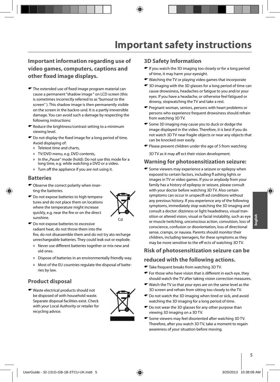### **Important information regarding use of video games, computers, captions and other fi xed image displays.**

- $\blacktriangleright$  The extended use of fixed image program material can cause a permanent "shadow image " on LCD screen (this is sometimes incorrectly referred to as "burnout to the screen" ). This shadow image is then permanently visible on the screen in the backro-und. It is a partly irreversible damage. You can avoid such a damage by respecting the following instructions:
- Reduce the brightness/contrast setting to a minimum viewing level.
- $\bullet$  Do not display the fixed image for a long period of time. Avoid displaying of:
	- » Teletext time and charts,
	- » TV/DVD menu, e.g. DVD contents,
	- » In the "Pause" mode (hold): Do not use this mode for a long time, e.g. while watching a DVD or a video.
	- » Turn off the appliance if you are not using it.

#### **Batteries**

- Observe the correct polarity when inserting the batteries.
- $\bullet$  Do not expose batteries to high temperatures and do not place them on locations where the temperature might increase quickly, e.g. near the fire or on the direct sunshine.



- $\bullet$  Do not expose batteries to excessive radiant heat, do not throw them into the fire, do not disassemble them and do not try ato recharge unrechargeable batteries. They could leak out or explode.
	- » Never use different batteries together or mix new and old ones.
	- » Dispose of batteries in an environmentally friendly way.
	- » Most of the EU countries regulate the disposal of batteries by law.

### **Product disposal**

Waste electrical products should not be disposed of with household waste. Separate disposal facilities exist. Check with your Local Authority or retailer for recycling advice.



#### **3D Safety Information**

- If you watch the 3D imaging too closely or for a long period of time, it may harm your eyesight.
- Watching the TV or playing video games that incorporate
- 3D imaging with the 3D glasses for a long period of time can cause drowsiness, headaches or fatigue to you and/or your eyes. If you have a headache, or otherwise feel fatigued or drowsy, stopwatching the TV and take a rest.
- **•** Pregnant woman, seniors, persons with heart problems or persons who experience frequent drowsiness should refrain from watching 3D TV.
- Some 3D imaging may cause you to duck or dodge the image displayed in the video. Therefore, it is best if you do not watch 3D TV near fragile objects or near any objects that can be knocked over easily.
- $\blacktriangleright$  Please prevent children under the age of 5 from watching

3D TV as it may aff ect their vision development.

#### **Warning for photosensitization seizure:**

**Some viewers may experience a seizure or epilepsy when** exposed to certain factors, including fl ashing lights or images in TV or video games. If you or anybody from your family has a history of epilepsy or seizure, please consult with your doctor before watching 3D TV. Also certain symptoms can occur in unspecifi ed conditions without any previous history. If you experience any of the following symptoms, immediately stop watching the 3D imaging and consult a doctor: dizziness or light headedness, visual transition or altered vision, visual or facial instability, such as eye or muscle twitching, unconscious action, convulsion, loss of conscience, confusion or disorientation, loss of directional sense, cramps, or nausea. Parents should monitor their children, including teenagers, for these symptoms as they may be more sensitive to the eff ects of watching 3D TV.

### **Risk of photosensitization seizure can be**

#### **reduced with the following actions.**

- $\blacktriangleright$  Take frequent breaks from watching 3D TV.
- $\bullet$  For those who have vision that is different in each eye, they should watch the TV after taking vision correction measures.
- Watch the TV so that your eyes are on the same level as the 3D screen and refrain from sitting too closely to the TV.
- Do not watch the 3D imaging when tired or sick, and avoid watching the 3D imaging for a long period of time.
- $\bullet$  Do not wear the 3D glasses for any other purpose than viewing 3D imaging on a 3D TV.
- Some viewers may feel disoriented after watching 3D TV. Therefore, after you watch 3D TV, take a moment to regain awareness of your situation before moving.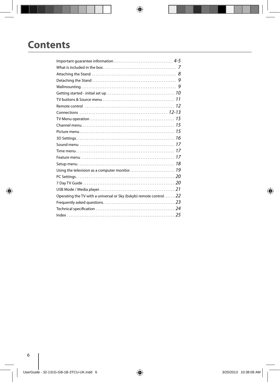# **Contents**

| Operating the TV with a universal or Sky (bskyb) remote control 22 |  |
|--------------------------------------------------------------------|--|
|                                                                    |  |
|                                                                    |  |
|                                                                    |  |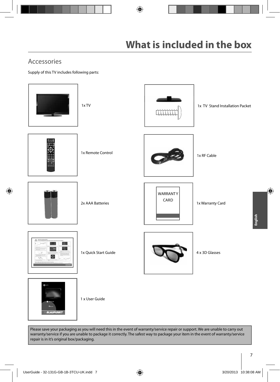## Accessories

Supply of this TV includes following parts:



Please save your packaging as you will need this in the event of warranty/service repair or support. We are unable to carry out warranty/service if you are unable to package it correctly. The safest way to package your item in the event of warranty/service repair is in it's original box/packaging.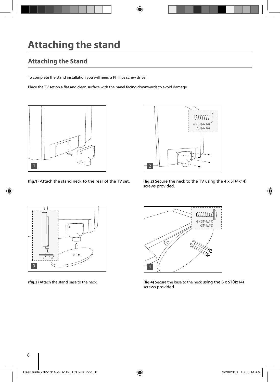# **Attaching the stand**

# **Attaching the Stand**

To complete the stand installation you will need a Phillips screw driver.

Place the TV set on a flat and clean surface with the panel facing downwards to avoid damage.



**(fig.1)** Attach the stand neck to the rear of the TV set. **(fig.2)** Secure the neck to the TV using the  $4 \times 5T(4 \times 14)$ 



screws provided.





**(fig.3)** Attach the stand base to the neck. (**fig.4)** Secure the base to the neck using the 6 x ST(4x14) screws provided.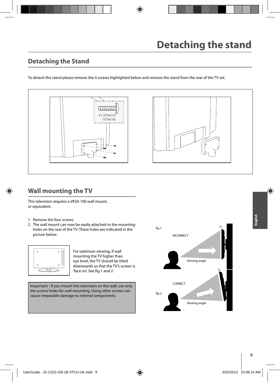## **Detaching the Stand**

To detach the stand please remove the 4 screws highlighted below and remove the stand from the rear of the TV set.





## **Wall mounting the TV**

This television requires a VESA 100 wall mount, or equivalent.

- 1. Remove the four screws
- 2. The wall mount can now be easily attached to the mounting holes on the rear of the TV. These holes are indicated in the picture below.



For optimum viewing, if wall mounting the TV higher than eye level, the TV should be tilted downwards so that the TV's screen is 'face on'. See fig 1 and 2

Important - If you mount this television on the wall, use only the screws holes for wall mounting. Using other screws can cause irreparable damage to internal components.

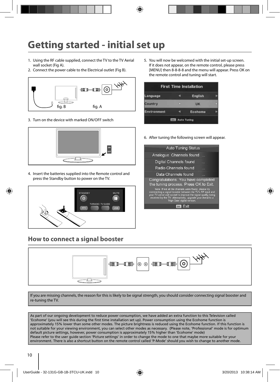# **Getting started - initial set up**

- 1. Using the RF cable supplied, connect the TV to the TV Aerial wall socket (Fig A).
- 2. Connect the power cable to the Electrical outlet (Fig B).



3. Turn on the device with marked ON/OFF switch



4. Insert the batteries supplied into the Remote control and press the Standby button to power on the TV.



### **How to connect a signal booster**

5. You will now be welcomed with the initial set-up screen. If it does not appear, on the remote control, please press [MENU] then 8-8-8-8 and the menu will appear. Press OK on the remote control and tuning will start.

| <b>First Time Installation</b> |  |
|--------------------------------|--|
| English                        |  |
| UK                             |  |
| <b>Ecohome</b>                 |  |
|                                |  |

6. After tuning the following screen will appear.

| <b>Auto Tuning Status</b>                                                                                                                                                                                                                                                           |  |
|-------------------------------------------------------------------------------------------------------------------------------------------------------------------------------------------------------------------------------------------------------------------------------------|--|
| Analogue Channels found                                                                                                                                                                                                                                                             |  |
| Digital Channels found                                                                                                                                                                                                                                                              |  |
| Radio Channels found                                                                                                                                                                                                                                                                |  |
| Data Channels found                                                                                                                                                                                                                                                                 |  |
| Congratulations. You have completed<br>the tuning process. Press OK to Exit.                                                                                                                                                                                                        |  |
| Note: If not all the channels were found, please try<br>connnecting a signal booster between the TV's RF input and<br>your TV aerial wall socket to improve the signal quality being<br>received by the TV. Alternatively, upgrade your Aerial to a<br>'High Gain' digital version. |  |
|                                                                                                                                                                                                                                                                                     |  |



If you are missing channels, the reason for this is likely to be signal strength, you should consider connecting signal booster and re-tuning the TV.

As part of our ongoing development to reduce power consumption, we have added an extra function to this Television called 'Ecohome' (you will see this during the first time installation set up). Power consumption using the Ecohome function is approximately 15% lower than some other modes. The picture brightness is reduced using the Ecohome function. If this function is not suitable for your viewing environment, you can select other modes as necessary. (Please note, 'Professional' mode is for optimum default picture settings, however, power consumption is approximately 15% higher than 'Ecohome' mode) Please refer to the user guide section 'Picture settings' in order to change the mode to one that maybe more suitable for your environment. There is also a shortcut button on the remote control called 'P-Mode' should you wish to change to another mode.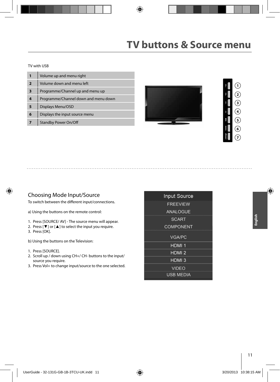#### TV with USB

| 1                       | Volume up and menu right             |
|-------------------------|--------------------------------------|
| $\overline{2}$          | Volume down and menu left            |
| $\overline{\mathbf{3}}$ | Programme/Channel up and menu up     |
| 4                       | Programme/Channel down and menu down |
| 5                       | Displays Menu/OSD                    |
| 6                       | Displays the input source menu       |
|                         | <b>Standby Power On/Off</b>          |





#### Choosing Mode Input/Source

To switch between the different input/connections.

a) Using the buttons on the remote control:

- 1. Press [SOURCE/ AV] The source menu will appear.
- 2. Press [▼] or [▲] to select the input you require.
- 3. Press [OK].
- b) Using the buttons on the Television:
- 1. Press [SOURCE].
- 2. Scroll up / down using CH+/ CH- buttons to the input/ source you require.
- 3. Press Vol+ to change input/source to the one selected.

| <b>Input Source</b> |  |
|---------------------|--|
| <b>FREEVIEW</b>     |  |
| <b>ANALOGUE</b>     |  |
| <b>SCART</b>        |  |
| <b>COMPONENT</b>    |  |
| <b>VGA/PC</b>       |  |
| HDMI <sub>1</sub>   |  |
| HDMI <sub>2</sub>   |  |
| HDMI <sub>3</sub>   |  |
| <b>VIDEO</b>        |  |
| <b>USB MEDIA</b>    |  |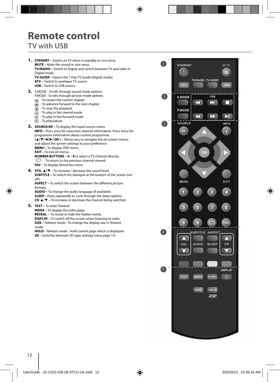# **Remote control TV with USB**

**1. STANDBY –** Switch on TV when in standby or vice versa. **MUTE –** Mute the sound or vice versa. **TV/RADIO –** Switch to Digital and switch between TV and radio in Digital mode. **TV GUIDE –** Opens the 7 Day TV Guide (Digital mode). **ATV –** Switch to analogue TV source. **USB –** Switch to USB source. **2.** S.MODE - Scrolls through sound mode options P.MODE - Scrolls through picture mode options  $\left($  $\right)$  - To restart the current chapter  $\widetilde{\bullet}$  - To advance forward to the next chapter  $\textcircled{f}$  - To stop the playback  $\widetilde{(-)}$  - To play in fast rewind mode  $\overrightarrow{P}$  - To play in fast forward mode  $\widetilde{(-)}$  - To play/pause **3. SOURCE/AV –** To display the input/source menu. **INFO –** Press once for now/next channel information. Press twice for programme information about current programme. **(▲/▼/◄/►/ OK ) –** Allows you to navigate the on-screen menus and adjust the system settings to your preference. **MENU –** To display OSD menu. **EXIT –** To exit all menus. **NUMBER BUTTONS – 0 – 9** to select a TV channel directly.  $\bigcirc$  – To return to the previous channel viewed. **FAV –** To display favourites menu. **4. VOL ▲/▼ –** To increase / decrease the sound level. **SUBTITLE –** To switch the dialogue at the bottom of the screen (on/  $\alpha$ ff ). **ASPECT** – To switch the screen between the different picture formats. **AUDIO –** To change the audio language (if available). **SLEEP –** Press repeatedly to cycle through the sleep options. **CH ▲/▼ –** To increase or decrease the channel being watched. **5. TEXT –** To enter Teletext **INDEX –** To display the index page **REVEAL –** To reveal or hide the hidden words. **DISPLAY –** To switch off the screen when listening to radio **SIZE –** Teletext mode - To change the display size in Teletext mode **HOLD -** Teletext mode - Hold current page which is displayed **3D –** Switches between 3D type settings (view page 15)

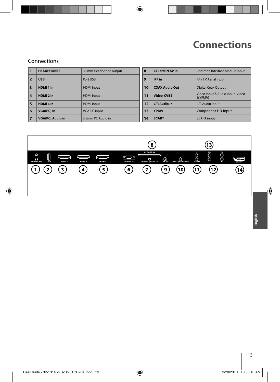### Connections

| 11 | <b>HEADPHONES</b>       | 3.5mm Headphone output | 8              | CI Card IN AV in      | Common Interface Module Input                |
|----|-------------------------|------------------------|----------------|-----------------------|----------------------------------------------|
| 12 | <b>USB</b>              | Port USB               | $\overline{9}$ | <b>RF</b> in          | <b>RF / TV Aerial input</b>                  |
| 3  | HDMI <sub>1</sub> in    | <b>HDMI</b> input      | 10             | <b>COAX Audio Out</b> | <b>Digital Coax Output</b>                   |
| 14 | HDMI <sub>2</sub> in    | <b>HDMI</b> input      | 11             | Video-CVBS            | Video Input & Audio input (Video<br>& YPbPr) |
| 5  | HDMI3 in                | <b>HDMI</b> input      | 12             | <b>L/R Audio In</b>   | L/R Audio Input                              |
| 6  | <b>VGA(PC) In</b>       | <b>VGA-PC input</b>    | 13             | <b>YPbPr</b>          | Component HD Input                           |
| 17 | <b>VGA(PC) Audio in</b> | 3.5mm PC Audio in      | 14             | <b>SCART</b>          | <b>SCART</b> input                           |

| 8  | <b>CI Card IN AV in</b> | Common Interface Module Input                |
|----|-------------------------|----------------------------------------------|
| 9  | <b>RF</b> in            | RF / TV Aerial input                         |
| 10 | <b>COAX Audio Out</b>   | <b>Digital Coax Output</b>                   |
| 11 | <b>Video-CVBS</b>       | Video Input & Audio input (Video<br>& YPbPr) |
| 12 | <b>L/R Audio In</b>     | L/R Audio Input                              |
| 13 | <b>YPhPr</b>            | Component HD Input                           |
| 14 | <b>SCART</b>            | <b>SCART</b> input                           |

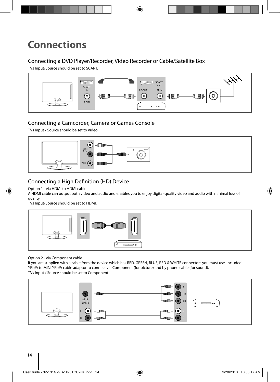# **Connections**

### Connecting a DVD Player/Recorder, Video Recorder or Cable/Satellite Box

TVs Input/Source should be set to SCART.



### Connecting a Camcorder, Camera or Games Console

TVs Input / Source should be set to Video.



### Connecting a High Definition (HD) Device

#### Option 1 - via HDMI to HDMI cable

A HDMI cable can output both video and audio and enables you to enjoy digital-quality video and audio with minimal loss of quality.

TVs Input/Source should be set to HDMI.



Option 2 - via Component cable.

If you are supplied with a cable from the device which has RED, GREEN, BLUE, RED & WHITE connectors you must use included YPbPr to MINI YPbPr cable adaptor to connect via Component (for picture) and by phono cable (for sound). TVs Input / Source should be set to Component.

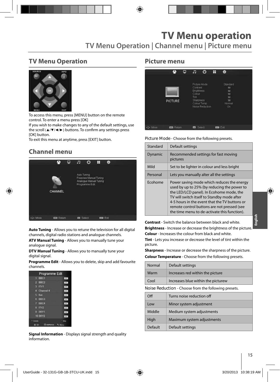# **TV Menu operation**

**TV Menu Operation | Channel menu | Picture menu**

## **TV Menu Operation**



To access this menu, press [MENU] button on the remote control. To enter a menu press [OK]

If you wish to make changes to any of the default settings, use the scroll (▲/▼/◀/▶) buttons. To confirm any settings press [OK] button.

To exit this menu at anytime, press [EXIT] button.

## **Channel menu**



**Auto Tuning** - Allows you to retune the television for all digital channels, digital radio stations and analogue channels.

**ATV Manual Tuning** - Allows you to manually tune your analogue signal.

**DTV Manual Tuning** - Allows you to manually tune your digital signal.

**Programme Edit** - Allows you to delete, skip and add favourite channels.

| Programme Edit       |            |
|----------------------|------------|
| BBC1<br>т            | Lens.      |
| $2$ BBC <sub>2</sub> | D's        |
| ITV1<br>KB.          | $T^*T$     |
| 4 Channel 4          | 1079       |
| я<br>five            | <b>SEE</b> |
| 6 BBC3               | 100        |
| 7 BBC4               | $-014$     |
| B ITV2               | m          |
| $9$ SKY1             | ov.        |
| <b>10 SKY2</b>       | $10 +$     |
| * Delete             | Skin       |
| O OK                 |            |

**Signal Information** - Displays signal strength and quality information.

### **Picture menu**



**Picture Mode** - Choose from the following presets.

| Standard | Default settings                                                                                                                                                                                                                                                                                                                     |
|----------|--------------------------------------------------------------------------------------------------------------------------------------------------------------------------------------------------------------------------------------------------------------------------------------------------------------------------------------|
| Dynamic  | Recommended settings for fast moving<br>pictures                                                                                                                                                                                                                                                                                     |
| Mild     | Set to be lighter in colour and less bright                                                                                                                                                                                                                                                                                          |
| Personal | Lets you manually alter all the settings                                                                                                                                                                                                                                                                                             |
| Ecohome  | Power saving mode which reduces the energy<br>used by up to 25% (by reducing the power to<br>the LED/LCD panel). In Ecohome mode, the<br>TV will switch itself to Standby mode after<br>4-5 hours in the event that the TV buttons or<br>remote control buttons are not pressed (see<br>the time menu to de-activate this function). |

**Contrast** - Switch the balance between black and white. **Brightness** - Increase or decrease the brightness of the picture. **Colour** - Increases the colour from black and white.

**Tint** - Lets you increase or decrease the level of tint within the picture.

**Sharpness** - Increase or decrease the sharpness of the picture. **Colour Temperature** - Choose from the following presets.

| Default settings<br>Normal                           |                                    |  |
|------------------------------------------------------|------------------------------------|--|
| Warm                                                 | Increases red within the picture   |  |
| Cool                                                 | Increases blue within the picturew |  |
| Noise Reduction - Choose from the following presets. |                                    |  |

| $\Omega$ | Turns noise reduction off  |
|----------|----------------------------|
| Low      | Minor system adjustment    |
| Middle   | Medium system adjustments  |
| High     | Maximum system adjustments |
| Default  | Default settings           |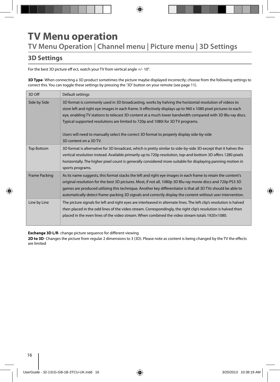# **TV Menu operation TV Menu Operation | Channel menu | Picture menu | 3D Settings**

## **3D Settings**

For the best 3D picture eff ect, watch your TV from vertical angle +/- 10°.

**3D Type**- When connecting a 3D product sometimes the picture maybe displayed incorrectly; choose from the following settings to correct this. You can toggle these settings by pressing the '3D' button on your remote (see page 11).

| 3D Off               | Default settings                                                                                                                                                                                                                                                                                                                                                                                                                                                                                                                                 |
|----------------------|--------------------------------------------------------------------------------------------------------------------------------------------------------------------------------------------------------------------------------------------------------------------------------------------------------------------------------------------------------------------------------------------------------------------------------------------------------------------------------------------------------------------------------------------------|
| Side by Side         | 3D format is commonly used in 3D broadcasting, works by halving the horizontal resolution of videos to<br>store left and right eye images in each frame. It effectively displays up to 960 x 1080 pixel pictures to each<br>eye, enabling TV stations to telecast 3D content at a much lower bandwidth compared with 3D Blu-ray discs.<br>Typical supported resolutions are limited to 720p and 1080i for 3D TV programs.<br>Users will need to manually select the correct 3D format to properly display side-by-side<br>3D content on a 3D TV. |
| <b>Top Bottom</b>    | 3D format is alternative for 3D broadcast, which is pretty similar to side-by-side 3D except that it halves the<br>vertical resolution instead. Available primarily up to 720p resolution, top-and-bottom 3D offers 1280 pixels<br>horizontally. The higher pixel count is generally considered more suitable for displaying panning motion in<br>sports programs.                                                                                                                                                                               |
| <b>Frame Packing</b> | As its name suggests, this format stacks the left and right eye images in each frame to retain the content's<br>original resolution for the best 3D pictures. Most, if not all, 1080p 3D Blu-ray movie discs and 720p PS3 3D<br>games are produced utilizing this technique. Another key differentiator is that all 3D TVs should be able to<br>automatically detect frame-packing 3D signals and correctly display the content without user intervention.                                                                                       |
| Line by Line         | The picture signals for left and right eyes are interleaved in alternate lines. The left clip's resolution is halved<br>then placed in the odd lines of the video stream. Correspondingly, the right clip's resolution is halved then<br>placed in the even lines of the video stream. When combined the video stream totals 1920×1080.                                                                                                                                                                                                          |

**Exchange 3D L/R-** change picture sequence for different viewing

**2D to 3D**- Changes the picture from regular 2 dimensions to 3 (3D). Please note as content is being changed by the TV the effects are limited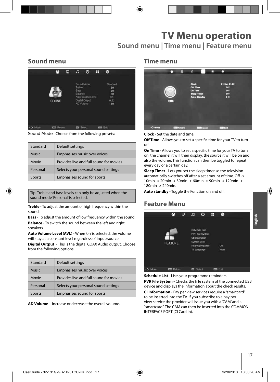# **TV Menu operation**

**Sound menu | Time menu | Feature menu**

## **Sound menu**



**Sound Mode** - Choose from the following presets:

| Standard      | Default settings                        |
|---------------|-----------------------------------------|
| <b>Music</b>  | Emphasises music over voices            |
| Movie         | Provides live and full sound for movies |
| Personal      | Selects your personal sound settings    |
| <b>Sports</b> | Emphasises sound for sports             |

Tip: Treble and bass levels can only be adjusted when the sound mode 'Personal' is selected.

**Treble** - To adjust the amount of high frequency within the sound.

**Bass** - To adjust the amount of low frequency within the sound. **Balance** - To switch the sound between the left and right

speakers. **Auto Volume Level (AVL)** - When 'on' is selected, the volume

will stay at a constant level regardless of input/source. **Digital Output** - This is the digital COAX Audio output. Choose

from the following options:

| Standard      | Default settings                        |
|---------------|-----------------------------------------|
| Music         | Emphasises music over voices            |
| Movie         | Provides live and full sound for movies |
| Personal      | Selects your personal sound settings    |
| <b>Sports</b> | Emphasises sound for sports             |

**AD Volume** - Increase or decrease the overall volume.

### **Time menu**



**Clock** - Set the date and time.

**Off Time** - Allows you to set a specific time for your TV to turn off.

**On Time** - Allows you to set a specific time for your TV to turn on, the channel it will then display, the source it will be on and also the volume. This function can then be toggled to repeat every day or a certain day.

**Sleep Timer** - Lets you set the sleep timer so the television automatically switches off after a set amount of time. Off -> 10min -> 20min -> 30min -> 60min -> 90min -> 120min -> 180min -> 240min.

Auto standby - Toggle the Function on and off.

### **Feature Menu**



**Schedule List** - Lists your programme reminders.

**PVR File System** - Checks the fi le system of the connected USB device and displays the information about the check results.

**CI Information** - Pay per view services require a "smartcard" to be inserted into the TV. If you subscribe to a pay per view service the provider will issue you with a 'CAM' and a "smartcard". The CAM can then be inserted into the COMMON INTERFACE PORT (CI Card In).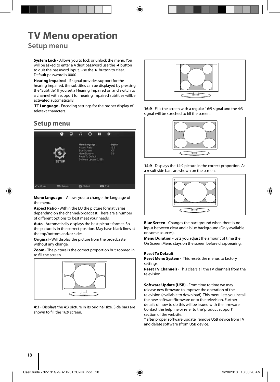# **TV Menu operation**

## **Setup menu**

**System Lock** - Allows you to lock or unlock the menu. You will be asked to enter a 4 digit password use the **◄** button to quit the password input. Use the **►** button to clear. Default password is 0000.

**Hearing Impaired** - If signal provides support for the hearing impaired, the subtitles can be displayed by pressing the "Subtitle". If you set a Hearing Impaired on and switch to a channel with support for hearing impaired subtitles willbe activated automatically.

 **TT Language** - Encoding settings for the proper display of teletext characters.

## **Setup menu**



**Menu language** - Allows you to change the language of the menu.

**Aspect Ratio** - Within the EU the picture format varies depending on the channel/broadcast. There are a number of different options to best meet your needs.

**Auto** - Automatically displays the best picture format. So the picture is in the correct position. May have black lines at the top/bottom and/or sides.

**Original** - Will display the picture from the broadcaster without any change.

**Zoom** - The picture is the correct proportion but zoomed in to fill the screen.



**4:3** - Displays the 4:3 picture in its original size. Side bars are shown to fill the 16:9 screen.



**16:9** - Fills the screen with a regular 16:9 signal and the 4:3 signal will be streched to fill the screen.



**14:9** - Displays the 14:9 picture in the correct proportion. As a result side bars are shown on the screen.



**Blue Screen** - Changes the background when there is no input between clear and a blue background (Only available on some sources).

**Menu Duration** - Lets you adjust the amount of time the On Screen Menu stays on the screen before disappearing.

#### **Reset To Default**

**Reset Menu System -** This resets the menus to factory settings.

**Reset TV Channels** - This clears all the TV channels from the television.

**Software Update (USB)** - From time to time we may release new firmware to improve the operation of the television (available to download). This menu lets you install the new software/firmware onto the television. Further details of how to do this will be issued with the firmware. Contact the helpline or refer to the 'product support' section of the website.

\* after proper software update, remove USB device from TV and delete software sfrom USB device.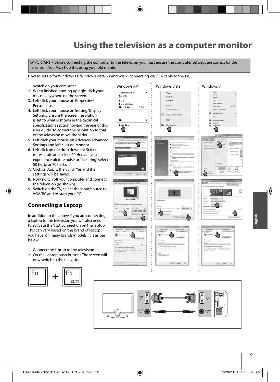# **Using the television as a computer monitor**

IMPORTANT – Before connecting the computer to the television you must ensure the computer settings are correct for the television. You MUST do this using your old monitor.

How to set up for Windows XP, Windows Vista & Windows 7 (connecting via VGA cable to the TV).

- 1. Switch on your computer.
- 2. When finished booting up right click your mouse anywhere on the screen.
- 3. Left click your mouse on Properties/ Personalise.
- 4. Left click your mouse on Setting/Display Settings. Ensure the screen resolution is set to what is shown in the technical specifications section toward the rear of this user guide. To correct the resolution to that of the television move the slider.
- 5. Left click your mouse on Advance/Advanced Settings and left click on Monitor.
- 6. Left click on the drop down for Screen refresh rate and select 60 Hertz, if you experience picture noise or 'flickering', select 50 hertz or 70 hertz.
- 7. Click on Apply, then click Yes and the settings will be saved.
- 8. Now switch off your computer and connect the television (as shown).
- 9. Switch on the TV, select the input/source to VGA/PC and re-start your PC.

### **Connecting a Laptop**

In addition to the above if you are connecting a laptop to the television you will also need to activate the VGA connection on the laptop. This can vary based on the brand of laptop you have, on many brands/models, it is as per below.

- 1. Connect the laptop to the television.
- 2. On the Laptop push buttons The screen will now switch to the television.



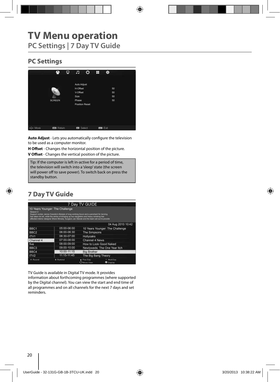## **PC Settings**



Auto Adjust - Lets you automatically configure the television to be used as a computer monitor.

**H Offset** - Changes the horizontal position of the picture. **V Offset** - Changes the vertical position of the picture.

Tip: If the computer is left in-active for a period of time, the television will switch into a 'sleep' state (the screen  $\vert$  will power off to save power). To switch back on press the **Postandby button. Position Resetting back to the original settings** 

# **7 Day TV Guide**

|                     |                                                                                                                                                                                                                                                                                                                         | 7 Day TV GUIDE                  |                                 |
|---------------------|-------------------------------------------------------------------------------------------------------------------------------------------------------------------------------------------------------------------------------------------------------------------------------------------------------------------------|---------------------------------|---------------------------------|
| Season <sub>2</sub> | 10 Years Younger: The Challenge<br>Support worker Janice Cassidy's lifestyle of long working hours and a penchant for tanning<br>has taken its toll, while the stress of bringing up two daughters and heavy smoking has<br>affected interior designer Shere Morady. Surgeon Jan Starek and the team set out to provide |                                 |                                 |
|                     |                                                                                                                                                                                                                                                                                                                         |                                 | 04 Aug 2010 10:42               |
| BBC <sub>1</sub>    | 05:00-06:00                                                                                                                                                                                                                                                                                                             |                                 | 10 Years Younger: The Challenge |
| BBC <sub>2</sub>    | 06:00-06:30                                                                                                                                                                                                                                                                                                             | The Simpsons                    |                                 |
| ITV <sub>1</sub>    | 06:30-07:00                                                                                                                                                                                                                                                                                                             | Hollyoaks                       |                                 |
| Channel 4           | 07:00-08:00                                                                                                                                                                                                                                                                                                             | Channel 4 News                  |                                 |
| five                | 08:00-09:00                                                                                                                                                                                                                                                                                                             | How to Look Good Naked          |                                 |
| BBC <sub>3</sub>    | 09:00-10:00                                                                                                                                                                                                                                                                                                             | Newlyweds: The One Year Itch    |                                 |
| BBC4                | 10:00-11:15                                                                                                                                                                                                                                                                                                             | <b>Big Brother</b>              |                                 |
| ITV2                | 11:15-11:45                                                                                                                                                                                                                                                                                                             | The Big Bang Theory             |                                 |
| Record              | * Remind                                                                                                                                                                                                                                                                                                                | Prev.Day<br><b>Childre View</b> | Next Day<br><b>O</b> Display    |

TV Guide is available in Digital TV mode. It provides

information about forthcoming programmes (where supported by the Digital channel). You can view the start and end time of all programmes and on all channels for the next 7 days and set reminders.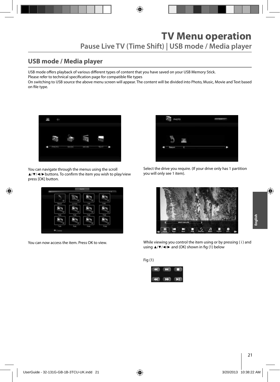## **USB mode / Media player**

USB mode offers playback of various different types of content that you have saved on your USB Memory Stick. Please refer to technical specification page for compatible file types On switching to USB source the above menu screen will appear. The content will be divided into Photo, Music, Movie and Text based

on file type.



You can navigate through the menus using the scroll ▲/▼/◀/▶buttons. To confirm the item you wish to play/view press [OK] button.



You can now access the item. Press OK to view.



Select the drive you require. (If your drive only has 1 partition you will only see 1 item).



While viewing you control the item using or by pressing ( i ) and using  $\triangle$ / $\nabla$ / $\triangleleft$ / $\triangleright$  and (OK) shown in fig (1) below

Fig (1)

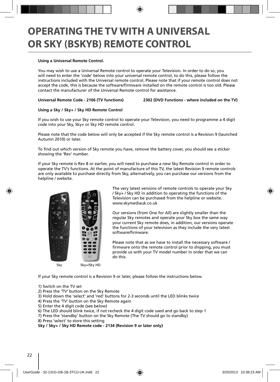# **OPERATING THE TV WITH A UNIVERSAL OR SKY (BSKYB) REMOTE CONTROL**

#### **Using a Universal Remote Control.**

You may wish to use a Universal Remote control to operate your Television. In order to do so, you will need to enter the 'code' below into your universal remote control, to do this, please follow the instructions included with the Universal remote control. Please note that if your remote control does not accept the code, this is because the software/firmware installed on the remote control is too old. Please contact the manufacturer of the Universal Remote control for assistance.

#### **Universal Remote Code - 2106 (TV functions) 2302 (DVD Functions - where included on the TV)**

#### **Using a Sky / Sky+ / Sky HD Remote Control**

If you wish to use your Sky remote control to operate your Television, you need to programme a 4 digit code into your Sky, Sky+ or Sky HD remote control.

Please note that the code below will only be accepted if the Sky remote control is a Revision 9 (launched Autumn 2010) or later.

To find out which version of Sky remote you have, remove the battery cover, you should see a sticker showing the 'Rev' number.

If your Sky remote is Rev 8 or earlier, you will need to purchase a new Sky Remote control in order to operate the TV's functions. At the point of manufacture of this TV, the latest Revision 9 remote controls are only available to purchase directly from Sky, alternatively, you can purchase our versions from the helpline / website.



The very latest versions of remote controls to operate your Sky / Sky+ / Sky HD in addition to operating the functions of the Television can be purchased from the helpline or website. www.skymediauk.co.uk

Our versions (from One for All) are slightly smaller than the regular Sky remotes and operate your Sky box the same way your current Sky remote does, in addition, our versions operate the functions of your television as they include the very latest software/firmware.

Please note that as we have to install the necessary software / firmware onto the remote control prior to shipping, you must provide us with your TV model number in order that we can do this.

If your Sky remote control is a Revision 9 or later, please follow the instructions below.

- 1) Switch on the TV set
- 2) Press the 'TV' button on the Sky Remote
- 3) Hold down the 'select' and 'red' buttons for 2-3 seconds until the LED blinks twice
- 4) Press the 'TV' button on the Sky Remote again
- 5) Enter the 4 digit code (see below)
- 6) The LED should blink twice, if not recheck the 4 digit code used and go back to step 1
- 7) Press the 'standby' button on the Sky Remote (The TV should go to standby)
- 8) Press 'select' to store this setting

**Sky / Sky+ / Sky HD Remote code - 2134 (Revision 9 or later only)**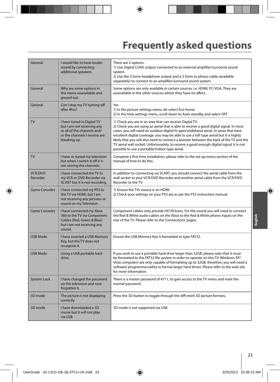# **Frequently asked questions**

| General                    | I would like to have louder<br>sound by connecting<br>additional speakers.                                                               | There are 2 options:<br>1) Use Digital COAX output connected to an external amplifier/surround sound<br>system.<br>2) Use the 3.5mm headphone output and a 3.5mm to phono cable (available<br>separately) to connect to an amplifier/surround sound system.                                                                                                                                                                                                                                                                                                                  |
|----------------------------|------------------------------------------------------------------------------------------------------------------------------------------|------------------------------------------------------------------------------------------------------------------------------------------------------------------------------------------------------------------------------------------------------------------------------------------------------------------------------------------------------------------------------------------------------------------------------------------------------------------------------------------------------------------------------------------------------------------------------|
| General                    | Why are some options in<br>the menu unavailable and<br>greyed out.                                                                       | Some options are only available in certain sources, i.e. HDMI, PC/VGA. They are<br>unavailable in the other sources where they have no affect.                                                                                                                                                                                                                                                                                                                                                                                                                               |
| General                    | Can I stop my TV turning off<br>after 4hrs?                                                                                              | Yes<br>1) In the picture settings menu, de-select Eco-home<br>2) In the time settings menu, scroll down to Auto standby and select OFF                                                                                                                                                                                                                                                                                                                                                                                                                                       |
| <b>TV</b>                  | I have tuned in Digital TV<br>but I am not receiving any<br>or all of the channels and/<br>or the channels I receive are<br>breaking up. | 1) Check you are in an area that can receive Digital TV.<br>2) Check you are using an aerial that is able to receive a good digital signal. In most<br>cases, you will need an outdoor digital hi-gain/wideband aerial. In areas that have<br>excellent digital coverage, you may be able to use a loft type aerial but it is highly<br>likely that you will also need to connect a booster between the back of the TV and the<br>TV aerial wall socket. Unfortunately, to receive a good enough digital signal, it is not<br>possible to use a portable/indoor type aerial. |
| <b>TV</b>                  | I have re-tuned my television<br>but when I switch it off it is<br>not storing the channels.                                             | Complete a first time installation, please refer to the set-up menu section of the<br>manual of how to do this.                                                                                                                                                                                                                                                                                                                                                                                                                                                              |
| <b>VCR/DVD</b><br>Recorder | I have connected the TV to<br>my VCR or DVD Recorder via<br>SCART but it is not recording.                                               | In addition to connecting via SCART, you should connect the aerial cable from the<br>wall socket to your VCR/DVD Recorder and another aerial cable from the VCR/DVD<br>Recorder to the TV.                                                                                                                                                                                                                                                                                                                                                                                   |
| <b>Game Consoles</b>       | I have connected my PS3 to<br>the TV via HDMI, but I am<br>not receiving any pictures or<br>sound on my Television.                      | 1) Ensure the TVs source is on HDMI.<br>2) Check your settings on your PS3 are as per the PS3 instruction manual.                                                                                                                                                                                                                                                                                                                                                                                                                                                            |
| <b>Game Consoles</b>       | I have connected my Xbox<br>360 to the TV via Component<br>Cables (Red, Green & Blue)<br>but I am not receiving any<br>sound.            | Component cables only provide HD Pictures. For the sound you will need to connect<br>the Red & White audio cables on the Xbox to the Red & White phono inputs on the<br>rear of the TV. Please refer to the 'Connections' pages.                                                                                                                                                                                                                                                                                                                                             |
| <b>USB Mode</b>            | I have inserted a USB Memory<br>Key, but the TV does not<br>recognise it.                                                                | Ensure the USB Memory Key is formatted to type FAT32.                                                                                                                                                                                                                                                                                                                                                                                                                                                                                                                        |
| <b>USB Mode</b>            | Using a USB portable hard<br>drive.                                                                                                      | If you wish to use a portable hard drive larger than 32GB, please note that it must<br>be formatted to the FAT32 file system in order to operate on this TV. Windows XP/<br>Vista computers are only capable of formatting up to 32GB, therefore, you will need a<br>software programme/utility to format larger hard drives. Please refer to the web site<br>for more information.                                                                                                                                                                                          |
| System Lock                | I have changed the password<br>on the television and now<br>forgotten it.                                                                | There is a master password of 4711, to gain access to the TV menu and reset the<br>normal password.                                                                                                                                                                                                                                                                                                                                                                                                                                                                          |
| 3D mode                    | The picture is not displaying<br>correctly                                                                                               | Press the 3D button to toggle through the diff erent 3D picture formats.                                                                                                                                                                                                                                                                                                                                                                                                                                                                                                     |
| 3D mode                    | I have downloaded a 3D<br>movie but it will not play<br>via USB                                                                          | 3D mode is not supported via USB.                                                                                                                                                                                                                                                                                                                                                                                                                                                                                                                                            |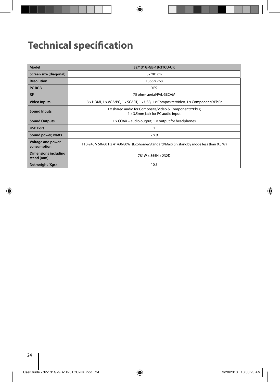# **Technical specification**

| Model                                     | 32/131G-GB-1B-3TCU-UK                                                                        |
|-------------------------------------------|----------------------------------------------------------------------------------------------|
| Screen size (diagonal)                    | 32"/81cm                                                                                     |
| <b>Resolution</b>                         | 1366 x 768                                                                                   |
| <b>PC RGB</b>                             | <b>YES</b>                                                                                   |
| <b>RF</b>                                 | 75 ohm- aerial/PAL-SECAM                                                                     |
| <b>Video Inputs</b>                       | 3 x HDMI, 1 x VGA/PC, 1 x SCART, 1 x USB, 1 x Composite/Video, 1 x Component/YPbPr           |
| <b>Sound Inputs</b>                       | 1 x shared audio for Composite/Video & Component/YPbPr,<br>1 x 3.5mm jack for PC audio input |
| <b>Sound Outputs</b>                      | $1 \times$ COAX – audio output, $1 \times$ output for headphones                             |
| <b>USB Port</b>                           |                                                                                              |
| Sound power, watts                        | 2x9                                                                                          |
| <b>Voltage and power</b><br>consumption   | 110-240 V 50/60 Hz 41/60/80W (Ecohome/Standard/Max) (in standby mode less than 0,5 W)        |
| <b>Dimensions including</b><br>stand (mm) | 781W x 555H x 232D                                                                           |
| Net weight (Kgs)                          | 10.5                                                                                         |